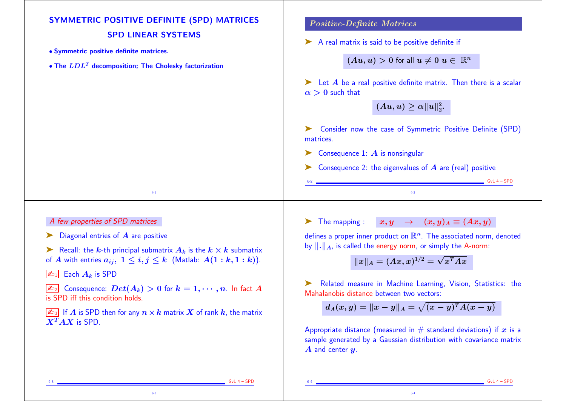| <b>SYMMETRIC POSITIVE DEFINITE (SPD) MATRICES</b>                                                                              | <b>Positive-Definite Matrices</b>                                                                                                                    |
|--------------------------------------------------------------------------------------------------------------------------------|------------------------------------------------------------------------------------------------------------------------------------------------------|
| <b>SPD LINEAR SYSTEMS</b><br>• Symmetric positive definite matrices.<br>• The $LDLT$ decomposition; The Cholesky factorization | A real matrix is said to be positive definite if<br>$(Au, u) > 0$ for all $u \neq 0$ $u \in \mathbb{R}^n$                                            |
|                                                                                                                                | $\blacktriangleright$ Let A be a real positive definite matrix. Then there is a scalar<br>$\alpha > 0$ such that<br>$(Au, u) \geq \alpha   u  _2^2.$ |
|                                                                                                                                | Sonsider now the case of Symmetric Positive Definite (SPD)<br>matrices.                                                                              |
|                                                                                                                                | Consequence 1: $\boldsymbol{A}$ is nonsingular                                                                                                       |
|                                                                                                                                | Consequence 2: the eigenvalues of $A$ are (real) positive                                                                                            |
|                                                                                                                                | $GvL$ 4 – $SPD$                                                                                                                                      |
| $6-1$                                                                                                                          | $6-2$                                                                                                                                                |

## A few properties of SPD matrices

 $\blacktriangleright$  Diagonal entries of  $\bm{A}$  are positive

Example 1.1 Recall: the k-th principal submatrix  $A_k$  is the  $k \times k$  submatrix of A with entries  $a_{ij}$ ,  $1 \leq i, j \leq k$  (Matlab:  $A(1:k,1:k)$ ).

 $\boxed{\mathbb{Z}_{\mathbb{D}_1}}$  Each  $A_k$  is SPD

 $\boxed{\mathbb{Z}_{22}}$  Consequence:  $Det(A_k) > 0$  for  $k = 1, \cdots, n$ . In fact A is SPD iff this condition holds.

 $\sqrt{2a_3}$  If A is SPD then for any  $n \times k$  matrix X of rank k, the matrix  $\overline{X^T} A X$  is SPD.

6-3

ightharpoonup is  $x, y \rightarrow (x, y)_A \equiv (Ax, y)_A$ 

defines a proper inner product on  $\mathbb{R}^n$ . The associated norm, denoted by  $\|\cdot\|_A$ , is called the energy norm, or simply the A-norm:

$$
\|x\|_A=(Ax,x)^{1/2}=\sqrt{x^TAx}
$$

➤ Related measure in Machine Learning, Vision, Statistics: the Mahalanobis distance between two vectors:

$$
d_A(x,y)=\|x-y\|_A=\sqrt{(x-y)^T A (x-y)}
$$

Appropriate distance (measured in  $#$  standard deviations) if x is a sample generated by a Gaussian distribution with covariance matrix  $\boldsymbol{A}$  and center  $\boldsymbol{y}$ .

6-4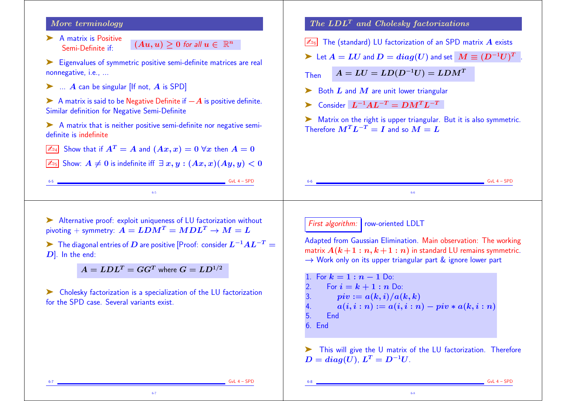## More terminology

▶ A matrix is Positive Semi-Definite if:  $(Au, u) \geq 0$  for all  $u \in \mathbb{R}^n$ 

➤ Eigenvalues of symmetric positive semi-definite matrices are real nonnegative, i.e., ...

 $\blacktriangleright$  ... A can be singular [If not, A is SPD]

 $\triangleright$  A matrix is said to be Negative Definite if  $-A$  is positive definite. Similar definition for Negative Semi-Definite

➤ A matrix that is neither positive semi-definite nor negative semidefinite is indefinite

 $\boxed{\mathbb{Z}_{\mathbb{Z}}\mathbb{Z}}$  Show that if  $A^T = A$  and  $(Ax, x) = 0 \,\forall x$  then  $A = 0$ 

 $\sqrt{255}$  Show:  $A \neq 0$  is indefinite iff  $\exists x, y : (Ax, x)(Ay, y) < 0$ 

6-5

 $The LDL<sup>T</sup> and Cholesky factorizations$ 

 $\sqrt{\mathbb{Z}_{06}}$  The (standard) LU factorization of an SPD matrix  $\vec{A}$  exists

$$
\blacktriangleright \ \text{Let } A = LU \text{ and } D = diag(U) \text{ and set } \ M \equiv (D^{-1}U)^T \ .
$$

Then  $A = LU = LD(D^{-1}U) = LDM^T$ 

 $\triangleright$  Both L and M are unit lower triangular

Consider  $L^{-1}AL^{-T} = DM^T L^{-T}$ 

► Matrix on the right is upper triangular. But it is also symmetric. Therefore  $M^{T}L^{-T} = I$  and so  $M = L$ 

➤ Alternative proof: exploit uniqueness of LU factorization without pivoting + symmetry:  $A = LDM^T = MDL^T \rightarrow M = L$ 

 $\triangleright$  The diagonal entries of D are positive [Proof: consider  $L^{-1}AL^{-T}$  = D]. In the end:

 $A = LDL^T = GG^T$  where  $G = LD^{1/2}$ 

➤ Cholesky factorization is a specialization of the LU factorization for the SPD case. Several variants exist.

6-7

First algorithm: row-oriented LDLT

Adapted from Gaussian Elimination. Main observation: The working matrix  $A(k+1:n, k+1:n)$  in standard LU remains symmetric.  $\rightarrow$  Work only on its upper triangular part & ignore lower part

6-6

1. For  $k = 1 : n - 1$  Do:<br>2. For  $i = k + 1 : n$  D For  $i = k + 1 : n$  Do: 3.  $\mathbf{piv} := a(k,i)/a(k,k)$ 4.  $a(i, i : n) := a(i, i : n) - piv * a(k, i : n)$ <br>5 Find 5. End 6. End

➤ This will give the U matrix of the LU factorization. Therefore  $D = diag(U)$ ,  $L^T = D^{-1}U$ .

6-8

 $GvL$  4 – SPD

 $GvL 4 - SPD$ 

 $GvL$  4 – SPD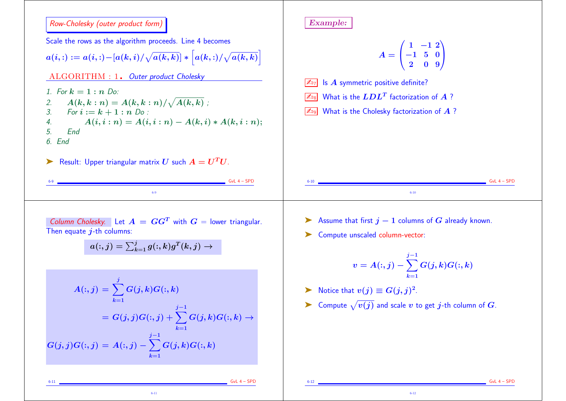